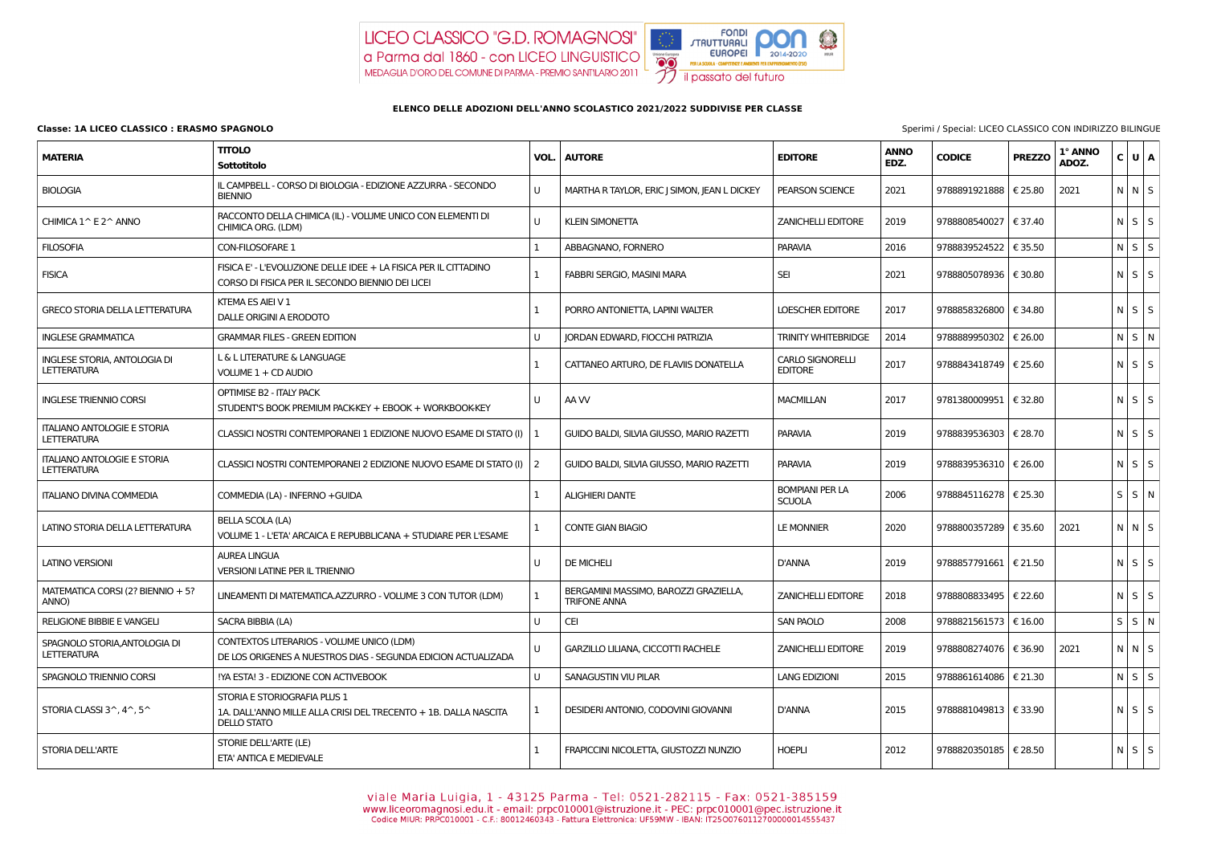## **Classe: 1A LICEO CLASSICO : ERASMO SPAGNOLO** Sperimi / Special: LICEO CLASSICO CON INDIRIZZO BILINGUE

## LICEO CLASSICO "G.D. ROMAGNOSI" a Parma dal 1860 - con LICEO LINGUISTICO MEDAGLIA D'ORO DEL COMUNE DI PARMA - PREMIO SANTILARIO 2011



## **ELENCO DELLE ADOZIONI DELL'ANNO SCOLASTICO 2021/2022 SUDDIVISE PER CLASSE**

| <b>MATERIA</b>                                           | <b>TITOLO</b><br>Sottotitolo                                                                                          |              | <b>VOL.   AUTORE</b>                                         | <b>EDITORE</b>                            | <b>ANNO</b><br>EDZ. | <b>CODICE</b>           | <b>PREZZO</b> | 1° ANNO<br>ADOZ. | C U A             |  |
|----------------------------------------------------------|-----------------------------------------------------------------------------------------------------------------------|--------------|--------------------------------------------------------------|-------------------------------------------|---------------------|-------------------------|---------------|------------------|-------------------|--|
| <b>BIOLOGIA</b>                                          | IL CAMPBELL - CORSO DI BIOLOGIA - EDIZIONE AZZURRA - SECONDO<br><b>BIENNIO</b>                                        | U            | MARTHA R TAYLOR, ERIC J SIMON, JEAN L DICKEY                 | <b>PEARSON SCIENCE</b>                    | 2021                | 9788891921888   € 25.80 |               | 2021             | $N$ $N$ $S$       |  |
| CHIMICA 1^ E 2^ ANNO                                     | RACCONTO DELLA CHIMICA (IL) - VOLUME UNICO CON ELEMENTI DI<br>CHIMICA ORG. (LDM)                                      | $\mathbf{U}$ | <b>KLEIN SIMONETTA</b>                                       | <b>ZANICHELLI EDITORE</b>                 | 2019                | 9788808540027           | € 37.40       |                  | $N$ $S$ $S$       |  |
| <b>FILOSOFIA</b>                                         | CON-FILOSOFARE 1                                                                                                      |              | ABBAGNANO, FORNERO                                           | <b>PARAVIA</b>                            | 2016                | 9788839524522 € 35.50   |               |                  | $N$ $S$ $S$       |  |
| <b>FISICA</b>                                            | FISICA E' - L'EVOLUZIONE DELLE IDEE + LA FISICA PER IL CITTADINO<br>CORSO DI FISICA PER IL SECONDO BIENNIO DEI LICEI  |              | FABBRI SERGIO, MASINI MARA                                   | <b>SEI</b>                                | 2021                | 9788805078936   € 30.80 |               |                  | $N$ $S$ $S$       |  |
| <b>GRECO STORIA DELLA LETTERATURA</b>                    | KTEMA ES AIEI V 1<br>DALLE ORIGINI A ERODOTO                                                                          |              | PORRO ANTONIETTA, LAPINI WALTER                              | <b>LOESCHER EDITORE</b>                   | 2017                | 9788858326800 € 34.80   |               |                  | $N \mid S \mid S$ |  |
| <b>INGLESE GRAMMATICA</b>                                | <b>GRAMMAR FILES - GREEN EDITION</b>                                                                                  | U            | JORDAN EDWARD, FIOCCHI PATRIZIA                              | <b>TRINITY WHITEBRIDGE</b>                | 2014                | 9788889950302           | € 26.00       |                  | $N$ $S$ $N$       |  |
| INGLESE STORIA, ANTOLOGIA DI<br><b>LETTERATURA</b>       | L & L LITERATURE & LANGUAGE<br>VOLUME 1 + CD AUDIO                                                                    |              | CATTANEO ARTURO, DE FLAVIIS DONATELLA                        | <b>CARLO SIGNORELLI</b><br><b>EDITORE</b> | 2017                | 9788843418749   € 25.60 |               |                  | $N$ $S$ $S$       |  |
| <b>INGLESE TRIENNIO CORSI</b>                            | <b>OPTIMISE B2 - ITALY PACK</b><br>STUDENT'S BOOK PREMIUM PACK-KEY + EBOOK + WORKBOOK-KEY                             | U            | AA W                                                         | <b>MACMILLAN</b>                          | 2017                | 9781380009951   € 32.80 |               |                  | $N \mid S \mid S$ |  |
| <b>ITALIANO ANTOLOGIE E STORIA</b><br><b>LETTERATURA</b> | CLASSICI NOSTRI CONTEMPORANEI 1 EDIZIONE NUOVO ESAME DI STATO (I)   1                                                 |              | GUIDO BALDI, SILVIA GIUSSO, MARIO RAZETTI                    | <b>PARAVIA</b>                            | 2019                | 9788839536303   € 28.70 |               |                  | $N$ $S$ $S$       |  |
| <b>ITALIANO ANTOLOGIE E STORIA</b><br><b>LETTERATURA</b> | CLASSICI NOSTRI CONTEMPORANEI 2 EDIZIONE NUOVO ESAME DI STATO (I)   2                                                 |              | GUIDO BALDI, SILVIA GIUSSO, MARIO RAZETTI                    | <b>PARAVIA</b>                            | 2019                | 9788839536310   € 26.00 |               |                  | $N$ $S$ $S$       |  |
| <b>ITALIANO DIVINA COMMEDIA</b>                          | COMMEDIA (LA) - INFERNO + GUIDA                                                                                       |              | <b>ALIGHIERI DANTE</b>                                       | <b>BOMPIANI PER LA</b><br><b>SCUOLA</b>   | 2006                | 9788845116278   € 25.30 |               |                  | $S \mid S \mid N$ |  |
| LATINO STORIA DELLA LETTERATURA                          | <b>BELLA SCOLA (LA)</b><br>VOLUME 1 - L'ETA' ARCAICA E REPUBBLICANA + STUDIARE PER L'ESAME                            |              | <b>CONTE GIAN BIAGIO</b>                                     | LE MONNIER                                | 2020                | 9788800357289   € 35.60 |               | 2021             | $N$ $N$ $S$       |  |
| <b>LATINO VERSIONI</b>                                   | <b>AUREA LINGUA</b><br><b>VERSIONI LATINE PER IL TRIENNIO</b>                                                         | U            | <b>DE MICHELI</b>                                            | <b>D'ANNA</b>                             | 2019                | 9788857791661   € 21.50 |               |                  | $N \mid S \mid S$ |  |
| MATEMATICA CORSI (2? BIENNIO + 5?<br>ANNO)               | LINEAMENTI DI MATEMATICA.AZZURRO - VOLUME 3 CON TUTOR (LDM)                                                           |              | BERGAMINI MASSIMO, BAROZZI GRAZIELLA,<br><b>TRIFONE ANNA</b> | <b>ZANICHELLI EDITORE</b>                 | 2018                | 9788808833495   € 22.60 |               |                  | $N$ $S$ $S$       |  |
| <b>RELIGIONE BIBBIE E VANGELI</b>                        | SACRA BIBBIA (LA)                                                                                                     | U            | <b>CEI</b>                                                   | SAN PAOLO                                 | 2008                | 9788821561573   € 16.00 |               |                  | $S \mid S \mid N$ |  |
| SPAGNOLO STORIA, ANTOLOGIA DI<br><b>LETTERATURA</b>      | CONTEXTOS LITERARIOS - VOLUME UNICO (LDM)<br>DE LOS ORIGENES A NUESTROS DIAS - SEGUNDA EDICION ACTUALIZADA            | U            | GARZILLO LILIANA, CICCOTTI RACHELE                           | <b>ZANICHELLI EDITORE</b>                 | 2019                | 9788808274076   € 36.90 |               | 2021             | $N$ $N$ $S$       |  |
| SPAGNOLO TRIENNIO CORSI                                  | !YA ESTA! 3 - EDIZIONE CON ACTIVEBOOK                                                                                 | U            | SANAGUSTIN VIU PILAR                                         | <b>LANG EDIZIONI</b>                      | 2015                | 9788861614086   € 21.30 |               |                  | $N$ $S$ $S$       |  |
| STORIA CLASSI $3^{\wedge}$ , $4^{\wedge}$ , $5^{\wedge}$ | STORIA E STORIOGRAFIA PLUS 1<br>1A. DALL'ANNO MILLE ALLA CRISI DEL TRECENTO + 1B. DALLA NASCITA<br><b>DELLO STATO</b> | 1            | DESIDERI ANTONIO, CODOVINI GIOVANNI                          | D'ANNA                                    | 2015                | 9788881049813   € 33.90 |               |                  | $N$ $S$ $S$       |  |
| STORIA DELL'ARTE                                         | STORIE DELL'ARTE (LE)<br>ETA' ANTICA E MEDIEVALE                                                                      | 1            | FRAPICCINI NICOLETTA, GIUSTOZZI NUNZIO                       | <b>HOEPLI</b>                             | 2012                | 9788820350185   € 28.50 |               |                  | $N$ $S$ $S$       |  |

Viale Maria Luigia, 1 - 43125 Parma - Tel: 0521-282115 - Fax: 0521-385159<br>www.liceoromagnosi.edu.it - email: prpc010001@istruzione.it - PEC: prpc010001@pec.istruzione.it<br>Codice MIUR: PRPC010001 - C.F.: 80012460343 - Fattur